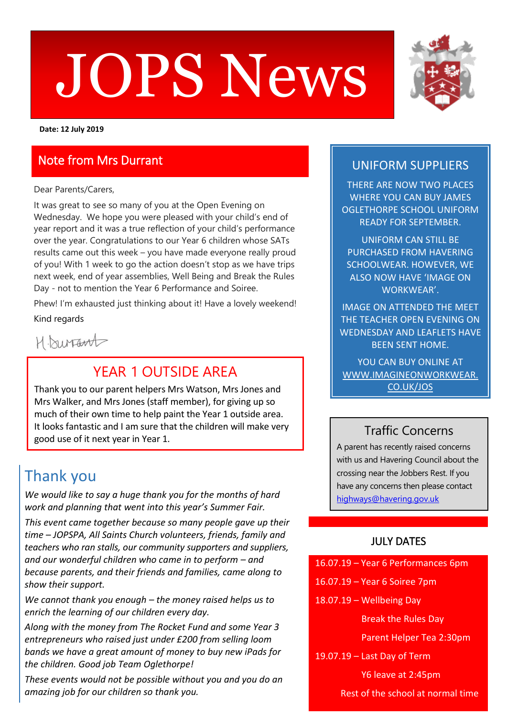# $\blacksquare$ JOPS News



**Date: 12 July 2019**

#### Note from Mrs Durrant

Dear Parents/Carers,

It was great to see so many of you at the Open Evening on Wednesday. We hope you were pleased with your child's end of year report and it was a true reflection of your child's performance over the year. Congratulations to our Year 6 children whose SATs results came out this week – you have made everyone really proud of you! With 1 week to go the action doesn't stop as we have trips next week, end of year assemblies, Well Being and Break the Rules Day - not to mention the Year 6 Performance and Soiree.

Phew! I'm exhausted just thinking about it! Have a lovely weekend! Kind regards

H. Durant

### YFAR 1 OUTSIDE AREA

Thank you to our parent helpers Mrs Watson, Mrs Jones and Mrs Walker, and Mrs Jones (staff member), for giving up so much of their own time to help paint the Year 1 outside area. It looks fantastic and I am sure that the children will make very good use of it next year in Year 1.

# Thank you

*We would like to say a huge thank you for the months of hard work and planning that went into this year's Summer Fair.* 

*This event came together because so many people gave up their time – JOPSPA, All Saints Church volunteers, friends, family and teachers who ran stalls, our community supporters and suppliers, and our wonderful children who came in to perform – and because parents, and their friends and families, came along to show their support.* 

*We cannot thank you enough – the money raised helps us to enrich the learning of our children every day.*

*Along with the money from The Rocket Fund and some Year 3 entrepreneurs who raised just under £200 from selling loom bands we have a great amount of money to buy new iPads for the children. Good job Team Oglethorpe!*

*These events would not be possible without you and you do an amazing job for our children so thank you.*

#### UNIFORM SUPPLIERS

THERE ARE NOW TWO PLACES WHERE YOU CAN BUY JAMES OGLETHORPE SCHOOL UNIFORM READY FOR SEPTEMBER.

UNIFORM CAN STILL BE PURCHASED FROM HAVERING SCHOOLWEAR. HOWEVER, WE ALSO NOW HAVE 'IMAGE ON WORKWEAR'.

IMAGE ON ATTENDED THE MEET THE TEACHER OPEN EVENING ON WEDNESDAY AND LEAFLETS HAVE BEEN SENT HOME.

YOU CAN BUY ONLINE AT [WWW.IMAGINEONWORKWEAR.](http://www.imagineonworkwear.co.uk/jos) [CO.UK/JOS](http://www.imagineonworkwear.co.uk/jos)

#### Traffic Concerns

A parent has recently raised concerns with us and Havering Council about the crossing near the Jobbers Rest. If you have any concerns then please contact [highways@havering.gov.uk](mailto:highways@havering.gov.uk)

#### JULY DATES

- 16.07.19 Year 6 Soiree 7pm
- 18.07.19 Wellbeing Day

Break the Rules Day

Parent Helper Tea 2:30pm

19.07.19 – Last Day of Term

Y6 leave at 2:45pm

Rest of the school at normal time